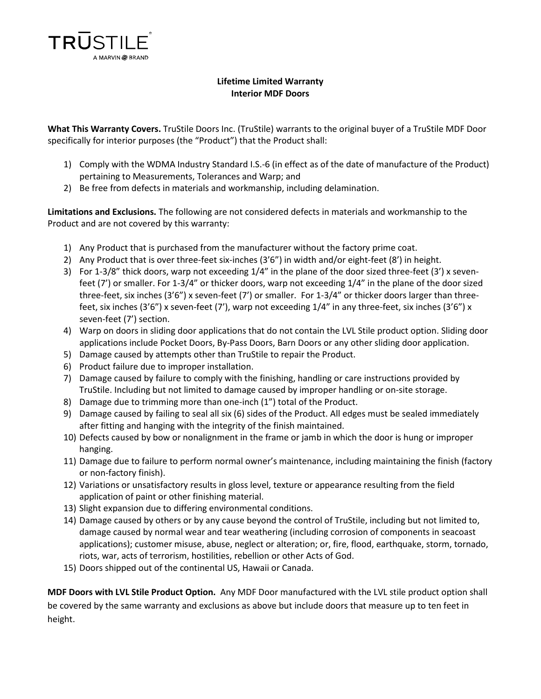

## **Lifetime Limited Warranty Interior MDF Doors**

**What This Warranty Covers.** TruStile Doors Inc. (TruStile) warrants to the original buyer of a TruStile MDF Door specifically for interior purposes (the "Product") that the Product shall:

- 1) Comply with the WDMA Industry Standard I.S.-6 (in effect as of the date of manufacture of the Product) pertaining to Measurements, Tolerances and Warp; and
- 2) Be free from defects in materials and workmanship, including delamination.

**Limitations and Exclusions.** The following are not considered defects in materials and workmanship to the Product and are not covered by this warranty:

- 1) Any Product that is purchased from the manufacturer without the factory prime coat.
- 2) Any Product that is over three-feet six-inches (3'6") in width and/or eight-feet (8') in height.
- 3) For 1-3/8" thick doors, warp not exceeding 1/4" in the plane of the door sized three-feet (3') x sevenfeet (7') or smaller. For 1-3/4" or thicker doors, warp not exceeding 1/4" in the plane of the door sized three-feet, six inches (3'6") x seven-feet (7') or smaller. For 1-3/4" or thicker doors larger than threefeet, six inches (3'6") x seven-feet (7'), warp not exceeding 1/4" in any three-feet, six inches (3'6") x seven-feet (7') section.
- 4) Warp on doors in sliding door applications that do not contain the LVL Stile product option. Sliding door applications include Pocket Doors, By-Pass Doors, Barn Doors or any other sliding door application.
- 5) Damage caused by attempts other than TruStile to repair the Product.
- 6) Product failure due to improper installation.
- 7) Damage caused by failure to comply with the finishing, handling or care instructions provided by TruStile. Including but not limited to damage caused by improper handling or on-site storage.
- 8) Damage due to trimming more than one-inch (1") total of the Product.
- 9) Damage caused by failing to seal all six (6) sides of the Product. All edges must be sealed immediately after fitting and hanging with the integrity of the finish maintained.
- 10) Defects caused by bow or nonalignment in the frame or jamb in which the door is hung or improper hanging.
- 11) Damage due to failure to perform normal owner's maintenance, including maintaining the finish (factory or non-factory finish).
- 12) Variations or unsatisfactory results in gloss level, texture or appearance resulting from the field application of paint or other finishing material.
- 13) Slight expansion due to differing environmental conditions.
- 14) Damage caused by others or by any cause beyond the control of TruStile, including but not limited to, damage caused by normal wear and tear weathering (including corrosion of components in seacoast applications); customer misuse, abuse, neglect or alteration; or, fire, flood, earthquake, storm, tornado, riots, war, acts of terrorism, hostilities, rebellion or other Acts of God.
- 15) Doors shipped out of the continental US, Hawaii or Canada.

**MDF Doors with LVL Stile Product Option.** Any MDF Door manufactured with the LVL stile product option shall be covered by the same warranty and exclusions as above but include doors that measure up to ten feet in height.